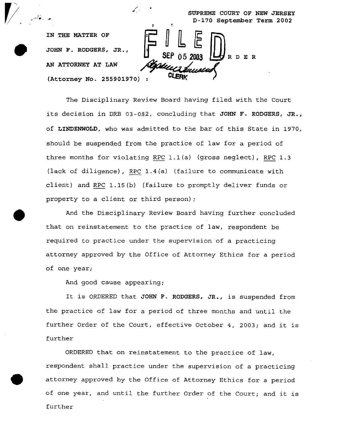**SUPREME COURT OF NEW JERSEY D-170 September Term 2002** 

**RDER** 

**IN THE MATTER OF JOHN F. RODGERS, JR.,**  *AN* **ATTORNEY AT LAW (Attorney No. 255901970)** :

*0* 

*0* 

The Disciplinary Review Board having filed with the Court its decision in DRB **03-082,** concluding that **JOHN** F. **RODGERS, JR.,**  of **LINDENWOLD**, who was admitted to the bar of this State in 1970,<br>should be suspended from the practice of law for a period of<br>three months for violating <u>RPC</u> 1.1(a) (gross neglect), <u>RPC</u> 1.3 should be suspended from the practice of law for a period of three months for violating RPC 1.1(a) (gross neglect), RPC 1.3<br>(lack of diligence), RPC 1.4(a) (failure to communicate with client) and RPC  $1.15(b)$  (failure to promptly deliver funds or property to a client or third person);

 $\mathcal{L}_{\text{c}}$  and the set of  $\mathcal{L}_{\text{c}}$ 

 $\mathbf{I}$  t

**d.** 

And the Disciplinary Review Board having further concluded that on reinstatement to the practice of law, respondent be required to practice under the supervision of a practicing attorney approved by the Office of Attorney Ethics for a period of one year;

And good cause appearing;

It is ORDERED that **JOHN** F. **RODGERS, JR.,** is suspended from the practice of law for a period of three months and until the further Order of the Court, effective October 4, *2003;* and it is further

ORDERED that on reinstatement to the practice of law, respondent shall practice under the supervision of a practicing attorney approved by the Office of Attorney Ethics for a period of one year, and until the further Order of the Court; and it is further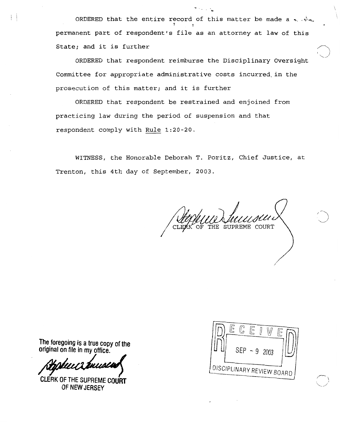ORDERED that the entire record of this matter be made a  $\sim$ . *1* **<sup>P</sup>** permanent part of respondent's file as an attorney at law of this State; and it is further

ORDERED that respondent reimburse the Disciplinary Oversight Committee for appropriate administrative costs incurred in the prosecution of this matter; and it is further

ORDERED that respondent be restrained and enjoined from practicing law during the period of suspension and that respondent comply with Rule **1:20-20.** 

WITNESS, the Honorable Deborah T. Poritz, Chief Justice, at Trenton, this 4th day of September, 2003.

SUPREME COURT

**The foregoing is a true copy** of **the original on file in my office.** 

Ħ

**CLERK OF** THE SUPREME **COURT**  OF **NEW JERSEY** 



/

*'3* 

 $\mathcal{A} \rightarrow \mathcal{A}$